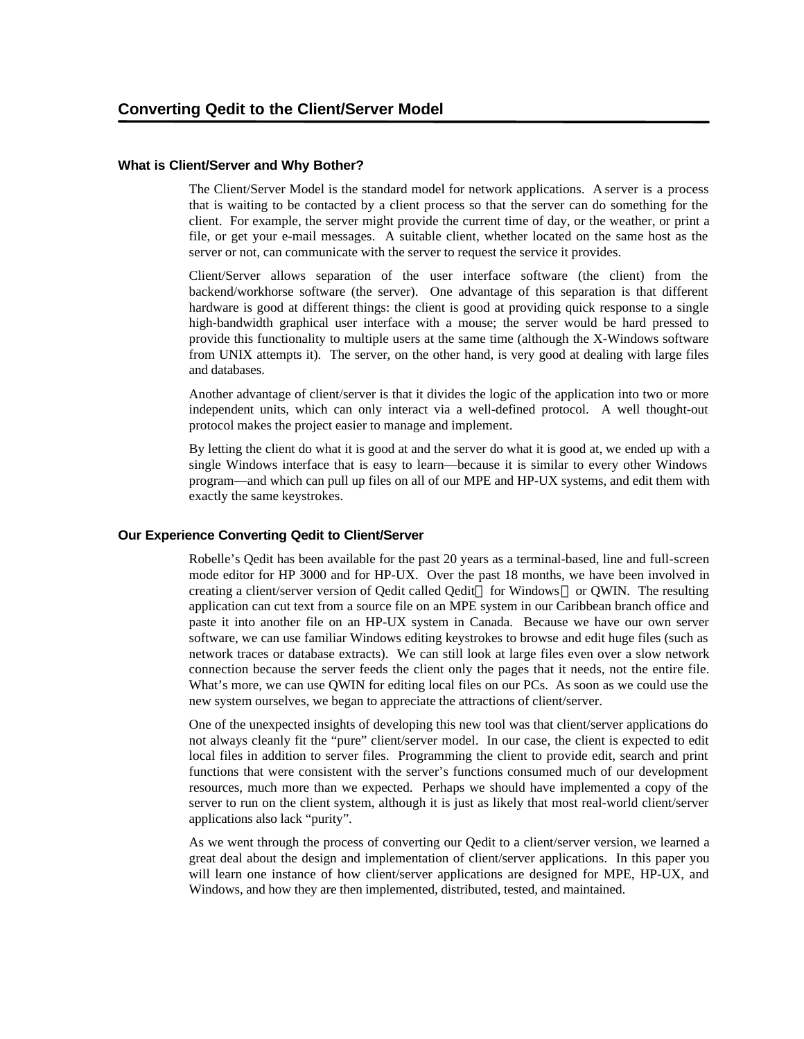#### **What is Client/Server and Why Bother?**

The Client/Server Model is the standard model for network applications. A server is a process that is waiting to be contacted by a client process so that the server can do something for the client. For example, the server might provide the current time of day, or the weather, or print a file, or get your e-mail messages. A suitable client, whether located on the same host as the server or not, can communicate with the server to request the service it provides.

Client/Server allows separation of the user interface software (the client) from the backend/workhorse software (the server). One advantage of this separation is that different hardware is good at different things: the client is good at providing quick response to a single high-bandwidth graphical user interface with a mouse; the server would be hard pressed to provide this functionality to multiple users at the same time (although the X-Windows software from UNIX attempts it). The server, on the other hand, is very good at dealing with large files and databases.

Another advantage of client/server is that it divides the logic of the application into two or more independent units, which can only interact via a well-defined protocol. A well thought-out protocol makes the project easier to manage and implement.

By letting the client do what it is good at and the server do what it is good at, we ended up with a single Windows interface that is easy to learn—because it is similar to every other Windows program—and which can pull up files on all of our MPE and HP-UX systems, and edit them with exactly the same keystrokes.

#### **Our Experience Converting Qedit to Client/Server**

Robelle's Qedit has been available for the past 20 years as a terminal-based, line and full-screen mode editor for HP 3000 and for HP-UX. Over the past 18 months, we have been involved in creating a client/server version of Qedit called Qedit<sup>™</sup> for Windows<sup>™</sup> or QWIN. The resulting application can cut text from a source file on an MPE system in our Caribbean branch office and paste it into another file on an HP-UX system in Canada. Because we have our own server software, we can use familiar Windows editing keystrokes to browse and edit huge files (such as network traces or database extracts). We can still look at large files even over a slow network connection because the server feeds the client only the pages that it needs, not the entire file. What's more, we can use QWIN for editing local files on our PCs. As soon as we could use the new system ourselves, we began to appreciate the attractions of client/server.

One of the unexpected insights of developing this new tool was that client/server applications do not always cleanly fit the "pure" client/server model. In our case, the client is expected to edit local files in addition to server files. Programming the client to provide edit, search and print functions that were consistent with the server's functions consumed much of our development resources, much more than we expected. Perhaps we should have implemented a copy of the server to run on the client system, although it is just as likely that most real-world client/server applications also lack "purity".

As we went through the process of converting our Qedit to a client/server version, we learned a great deal about the design and implementation of client/server applications. In this paper you will learn one instance of how client/server applications are designed for MPE, HP-UX, and Windows, and how they are then implemented, distributed, tested, and maintained.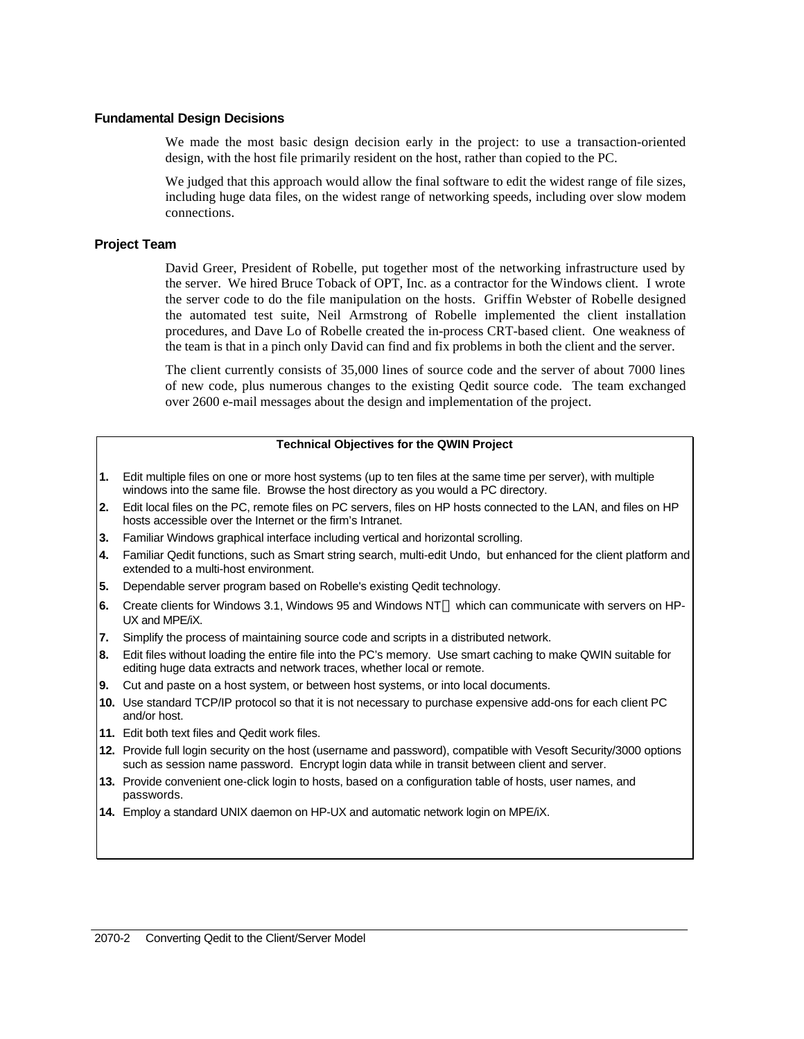#### **Fundamental Design Decisions**

We made the most basic design decision early in the project: to use a transaction-oriented design, with the host file primarily resident on the host, rather than copied to the PC.

We judged that this approach would allow the final software to edit the widest range of file sizes, including huge data files, on the widest range of networking speeds, including over slow modem connections.

### **Project Team**

David Greer, President of Robelle, put together most of the networking infrastructure used by the server. We hired Bruce Toback of OPT, Inc. as a contractor for the Windows client. I wrote the server code to do the file manipulation on the hosts. Griffin Webster of Robelle designed the automated test suite, Neil Armstrong of Robelle implemented the client installation procedures, and Dave Lo of Robelle created the in-process CRT-based client. One weakness of the team is that in a pinch only David can find and fix problems in both the client and the server.

The client currently consists of 35,000 lines of source code and the server of about 7000 lines of new code, plus numerous changes to the existing Qedit source code. The team exchanged over 2600 e-mail messages about the design and implementation of the project.

### **Technical Objectives for the QWIN Project**

- **1.** Edit multiple files on one or more host systems (up to ten files at the same time per server), with multiple windows into the same file. Browse the host directory as you would a PC directory.
- **2.** Edit local files on the PC, remote files on PC servers, files on HP hosts connected to the LAN, and files on HP hosts accessible over the Internet or the firm's Intranet.
- **3.** Familiar Windows graphical interface including vertical and horizontal scrolling.
- **4.** Familiar Qedit functions, such as Smart string search, multi-edit Undo, but enhanced for the client platform and extended to a multi-host environment.
- **5.** Dependable server program based on Robelle's existing Qedit technology.
- 6. Create clients for Windows 3.1, Windows 95 and Windows NT™ which can communicate with servers on HP-UX and MPE/iX.
- **7.** Simplify the process of maintaining source code and scripts in a distributed network.
- **8.** Edit files without loading the entire file into the PC's memory. Use smart caching to make QWIN suitable for editing huge data extracts and network traces, whether local or remote.
- **9.** Cut and paste on a host system, or between host systems, or into local documents.
- **10.** Use standard TCP/IP protocol so that it is not necessary to purchase expensive add-ons for each client PC and/or host.
- **11.** Edit both text files and Qedit work files.
- **12.** Provide full login security on the host (username and password), compatible with Vesoft Security/3000 options such as session name password. Encrypt login data while in transit between client and server.
- **13.** Provide convenient one-click login to hosts, based on a configuration table of hosts, user names, and passwords.
- **14.** Employ a standard UNIX daemon on HP-UX and automatic network login on MPE/iX.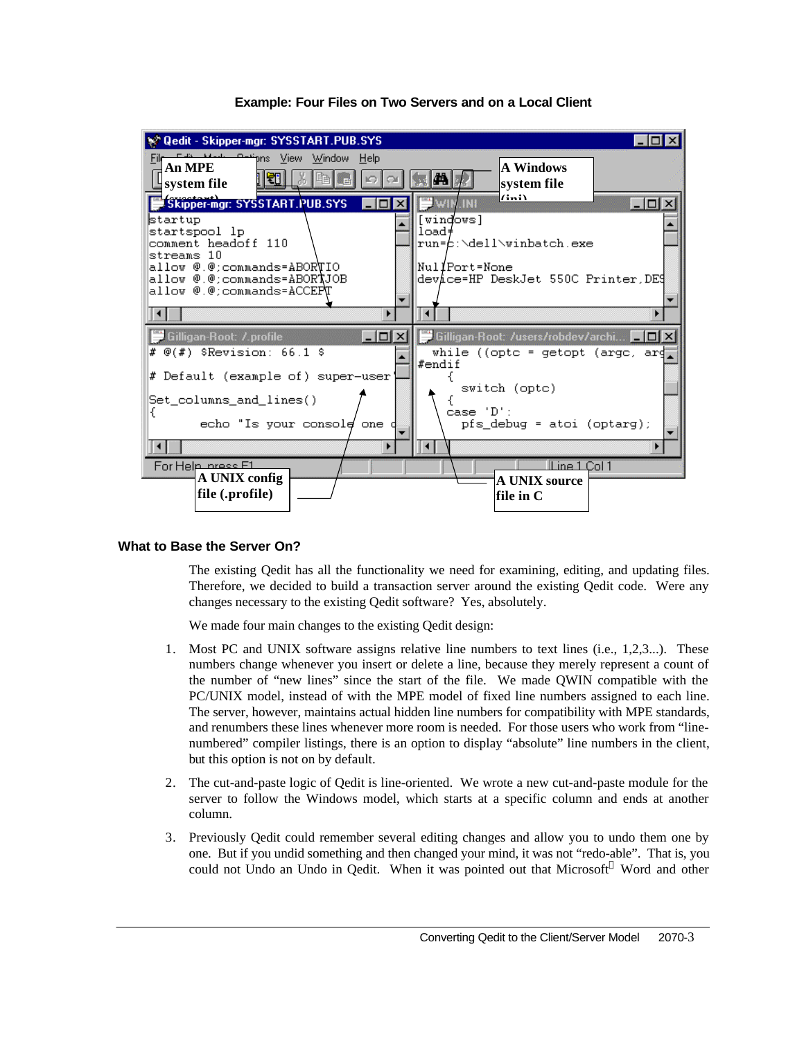

## **Example: Four Files on Two Servers and on a Local Client**

### **What to Base the Server On?**

The existing Qedit has all the functionality we need for examining, editing, and updating files. Therefore, we decided to build a transaction server around the existing Qedit code. Were any changes necessary to the existing Qedit software? Yes, absolutely.

We made four main changes to the existing Qedit design:

- 1. Most PC and UNIX software assigns relative line numbers to text lines (i.e., 1,2,3...). These numbers change whenever you insert or delete a line, because they merely represent a count of the number of "new lines" since the start of the file. We made QWIN compatible with the PC/UNIX model, instead of with the MPE model of fixed line numbers assigned to each line. The server, however, maintains actual hidden line numbers for compatibility with MPE standards, and renumbers these lines whenever more room is needed. For those users who work from "linenumbered" compiler listings, there is an option to display "absolute" line numbers in the client, but this option is not on by default.
- 2. The cut-and-paste logic of Qedit is line-oriented. We wrote a new cut-and-paste module for the server to follow the Windows model, which starts at a specific column and ends at another column.
- 3. Previously Qedit could remember several editing changes and allow you to undo them one by one. But if you undid something and then changed your mind, it was not "redo-able". That is, you could not Undo an Undo in Qedit. When it was pointed out that Microsoft Word and other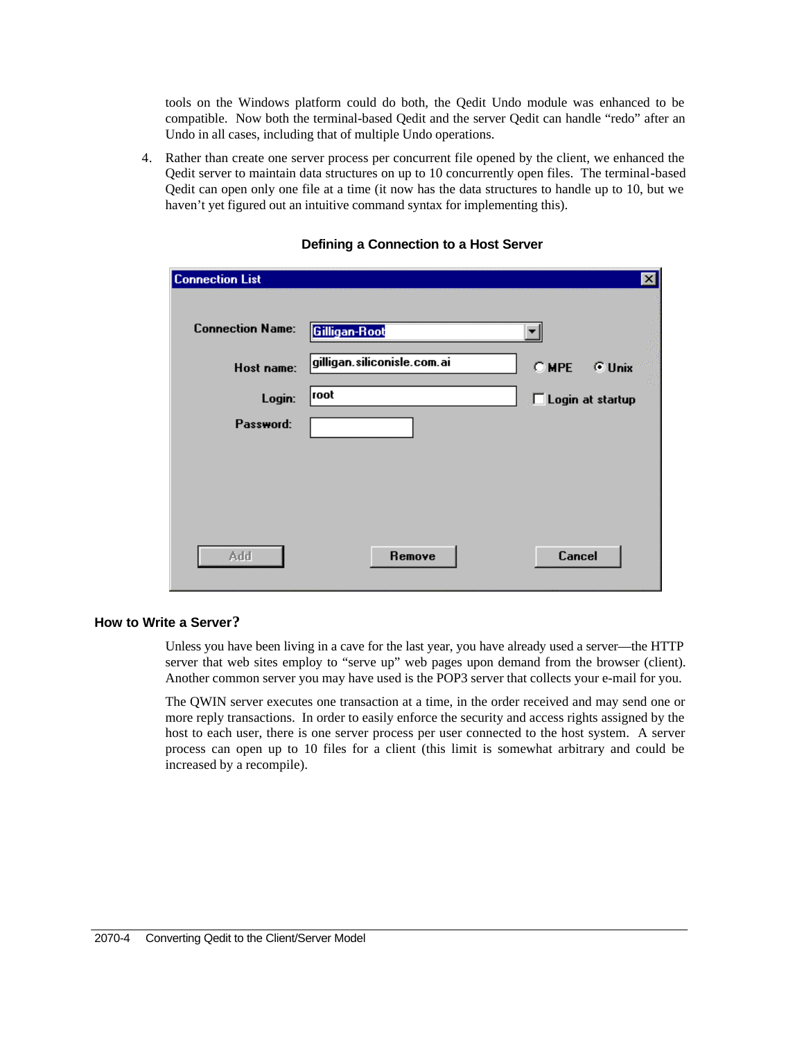tools on the Windows platform could do both, the Qedit Undo module was enhanced to be compatible. Now both the terminal-based Qedit and the server Qedit can handle "redo" after an Undo in all cases, including that of multiple Undo operations.

4. Rather than create one server process per concurrent file opened by the client, we enhanced the Qedit server to maintain data structures on up to 10 concurrently open files. The terminal**-**based Qedit can open only one file at a time (it now has the data structures to handle up to 10, but we haven't yet figured out an intuitive command syntax for implementing this).

|        | ×                                            |
|--------|----------------------------------------------|
|        |                                              |
|        | C MPE<br><b>C</b> Unix                       |
| root   | Login at startup                             |
|        |                                              |
|        |                                              |
|        |                                              |
|        |                                              |
| Remove | Cancel                                       |
|        | Gilligan-Root<br>gilligan.siliconisle.com.ai |

### **Defining a Connection to a Host Server**

# **How to Write a Server?**

Unless you have been living in a cave for the last year, you have already used a server—the HTTP server that web sites employ to "serve up" web pages upon demand from the browser (client). Another common server you may have used is the POP3 server that collects your e-mail for you.

The QWIN server executes one transaction at a time, in the order received and may send one or more reply transactions. In order to easily enforce the security and access rights assigned by the host to each user, there is one server process per user connected to the host system. A server process can open up to 10 files for a client (this limit is somewhat arbitrary and could be increased by a recompile).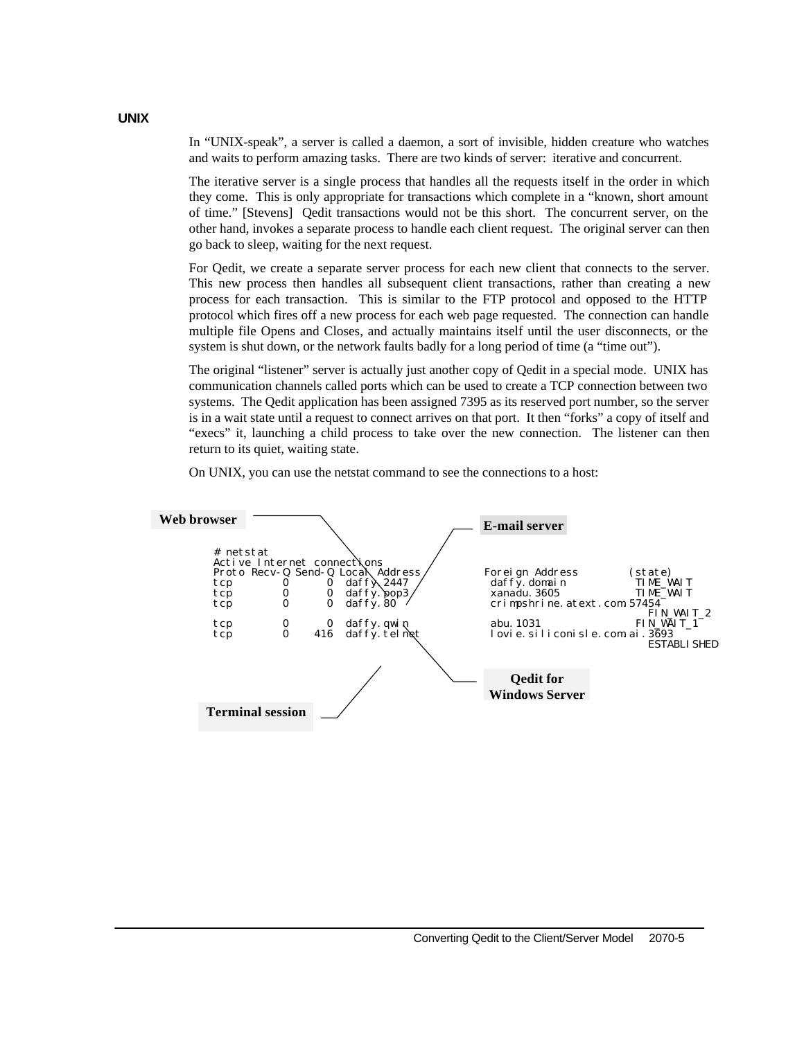In "UNIX-speak", a server is called a daemon, a sort of invisible, hidden creature who watches and waits to perform amazing tasks. There are two kinds of server: iterative and concurrent.

The iterative server is a single process that handles all the requests itself in the order in which they come. This is only appropriate for transactions which complete in a "known, short amount of time." [Stevens] Qedit transactions would not be this short. The concurrent server, on the other hand, invokes a separate process to handle each client request. The original server can then go back to sleep, waiting for the next request.

For Qedit, we create a separate server process for each new client that connects to the server. This new process then handles all subsequent client transactions, rather than creating a new process for each transaction. This is similar to the FTP protocol and opposed to the HTTP protocol which fires off a new process for each web page requested. The connection can handle multiple file Opens and Closes, and actually maintains itself until the user disconnects, or the system is shut down, or the network faults badly for a long period of time (a "time out").

The original "listener" server is actually just another copy of Qedit in a special mode. UNIX has communication channels called ports which can be used to create a TCP connection between two systems. The Qedit application has been assigned 7395 as its reserved port number, so the server is in a wait state until a request to connect arrives on that port. It then "forks" a copy of itself and "execs" it, launching a child process to take over the new connection. The listener can then return to its quiet, waiting state.

On UNIX, you can use the netstat command to see the connections to a host:



**UNIX**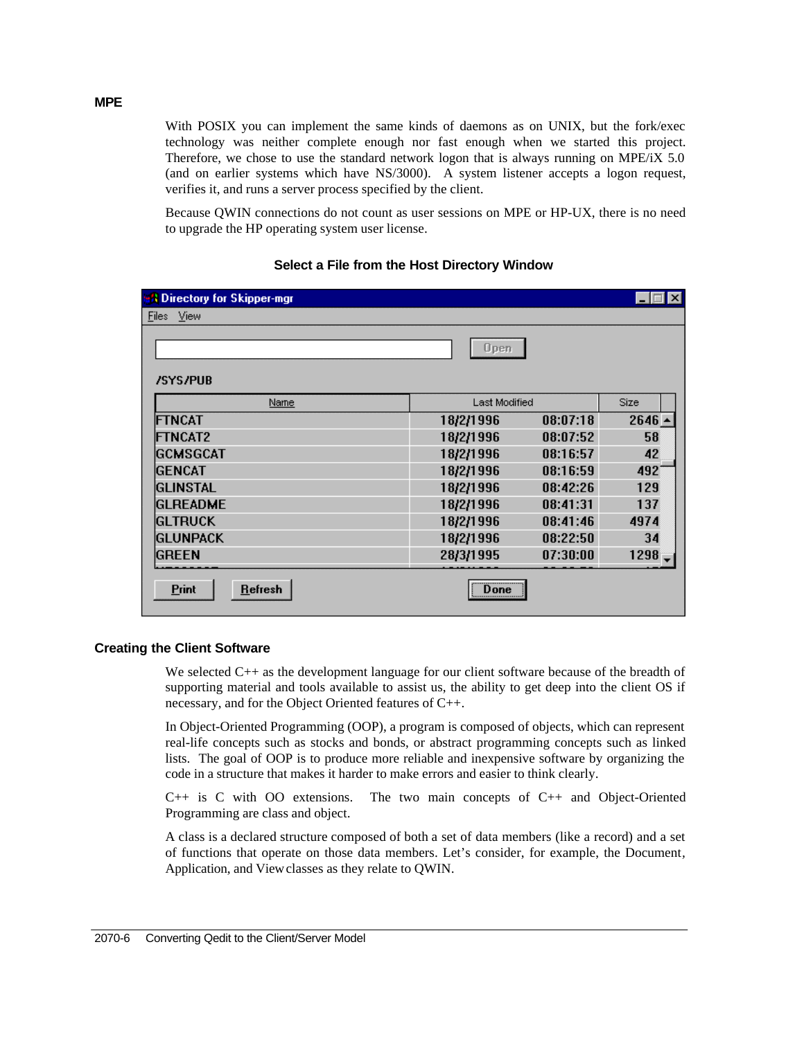With POSIX you can implement the same kinds of daemons as on UNIX, but the fork/exec technology was neither complete enough nor fast enough when we started this project. Therefore, we chose to use the standard network logon that is always running on MPE/iX 5.0 (and on earlier systems which have NS/3000). A system listener accepts a logon request, verifies it, and runs a server process specified by the client.

Because QWIN connections do not count as user sessions on MPE or HP-UX, there is no need to upgrade the HP operating system user license.

| <b>SA Directory for Skipper-mgr</b> |           |                      | <b>x</b> |
|-------------------------------------|-----------|----------------------|----------|
| View<br>Files                       |           |                      |          |
| <b>/SYS/PUB</b>                     | Open      |                      |          |
| <u>Name</u>                         |           | <b>Last Modified</b> |          |
| FTNCAT                              | 18/2/1996 | 08:07:18             | $2646 -$ |
| <b>FTNCAT2</b>                      | 18/2/1996 | 08:07:52             | 58       |
| <b>IGCMSGCAT</b>                    | 18/2/1996 | 08:16:57             | 42       |
| IGENCAT                             | 18/2/1996 | 08:16:59             | 492      |
| IGLINSTAL                           | 18/2/1996 | 08:42:26             | 129      |
| <b>GLREADME</b>                     | 18/2/1996 | 08:41:31             | 137      |
| <b>IGLTRUCK</b>                     | 18/2/1996 | 08:41:46             | 4974     |
| <b>IGLUNPACK</b>                    | 18/2/1996 | 08:22:50             | 34       |
| IGREEN                              | 28/3/1995 | 07:30:00             | 1298     |
| <b>Print</b><br><b>Refresh</b>      | <br>Done  |                      |          |

## **Select a File from the Host Directory Window**

### **Creating the Client Software**

We selected C<sub>++</sub> as the development language for our client software because of the breadth of supporting material and tools available to assist us, the ability to get deep into the client OS if necessary, and for the Object Oriented features of C++.

In Object-Oriented Programming (OOP), a program is composed of objects, which can represent real-life concepts such as stocks and bonds, or abstract programming concepts such as linked lists. The goal of OOP is to produce more reliable and inexpensive software by organizing the code in a structure that makes it harder to make errors and easier to think clearly.

 $C_{++}$  is C with OO extensions. The two main concepts of  $C_{++}$  and Object-Oriented Programming are class and object.

A class is a declared structure composed of both a set of data members (like a record) and a set of functions that operate on those data members. Let's consider, for example, the Document*,* Application, and Viewclasses as they relate to QWIN.

### **MPE**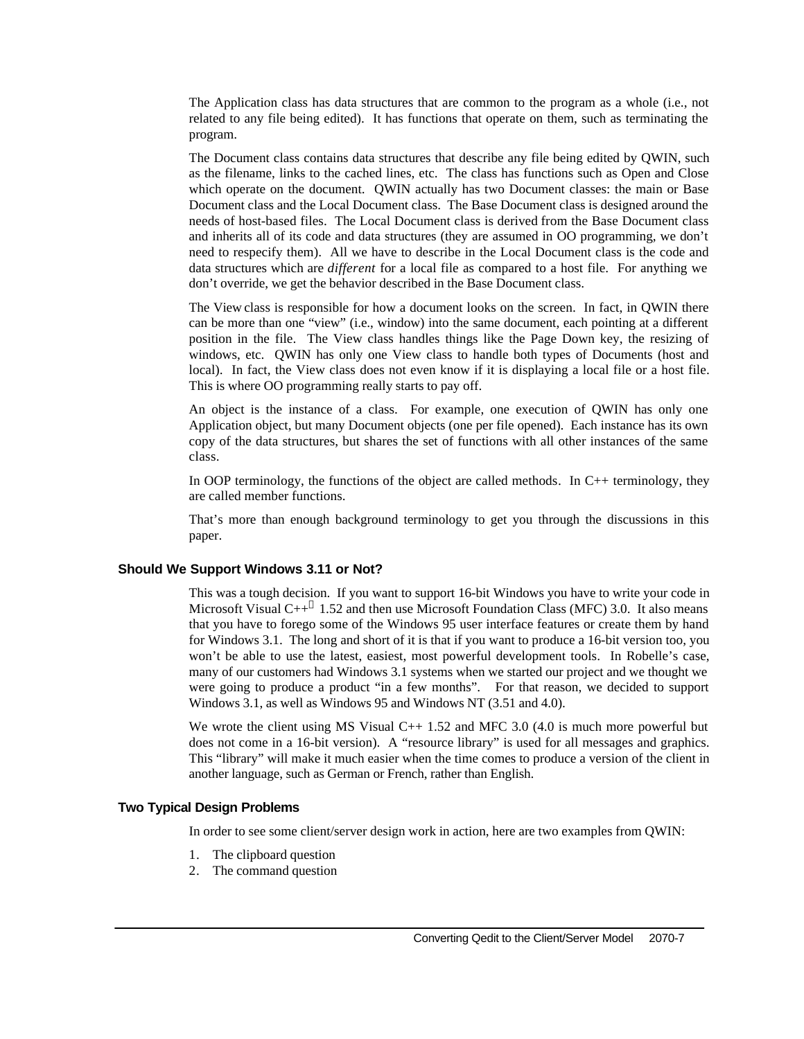The Application class has data structures that are common to the program as a whole (i.e., not related to any file being edited). It has functions that operate on them, such as terminating the program.

The Document class contains data structures that describe any file being edited by QWIN, such as the filename, links to the cached lines, etc. The class has functions such as Open and Close which operate on the document. QWIN actually has two Document classes: the main or Base Document class and the Local Document class. The Base Document class is designed around the needs of host-based files. The Local Document class is derived from the Base Document class and inherits all of its code and data structures (they are assumed in OO programming, we don't need to respecify them). All we have to describe in the Local Document class is the code and data structures which are *different* for a local file as compared to a host file. For anything we don't override, we get the behavior described in the Base Document class.

The View class is responsible for how a document looks on the screen. In fact, in QWIN there can be more than one "view" (i.e., window) into the same document, each pointing at a different position in the file. The View class handles things like the Page Down key, the resizing of windows, etc. QWIN has only one View class to handle both types of Documents (host and local). In fact, the View class does not even know if it is displaying a local file or a host file. This is where OO programming really starts to pay off.

An object is the instance of a class. For example, one execution of QWIN has only one Application object, but many Document objects (one per file opened). Each instance has its own copy of the data structures, but shares the set of functions with all other instances of the same class.

In OOP terminology, the functions of the object are called methods. In C++ terminology, they are called member functions.

That's more than enough background terminology to get you through the discussions in this paper.

#### **Should We Support Windows 3.11 or Not?**

This was a tough decision. If you want to support 16-bit Windows you have to write your code in Microsoft Visual  $C++^{\circledast}$  1.52 and then use Microsoft Foundation Class (MFC) 3.0. It also means that you have to forego some of the Windows 95 user interface features or create them by hand for Windows 3.1. The long and short of it is that if you want to produce a 16-bit version too, you won't be able to use the latest, easiest, most powerful development tools. In Robelle's case, many of our customers had Windows 3.1 systems when we started our project and we thought we were going to produce a product "in a few months". For that reason, we decided to support Windows 3.1, as well as Windows 95 and Windows NT (3.51 and 4.0).

We wrote the client using MS Visual  $C_{++}$  1.52 and MFC 3.0 (4.0 is much more powerful but does not come in a 16-bit version). A "resource library" is used for all messages and graphics. This "library" will make it much easier when the time comes to produce a version of the client in another language, such as German or French, rather than English.

## **Two Typical Design Problems**

In order to see some client/server design work in action, here are two examples from QWIN:

- 1. The clipboard question
- 2. The command question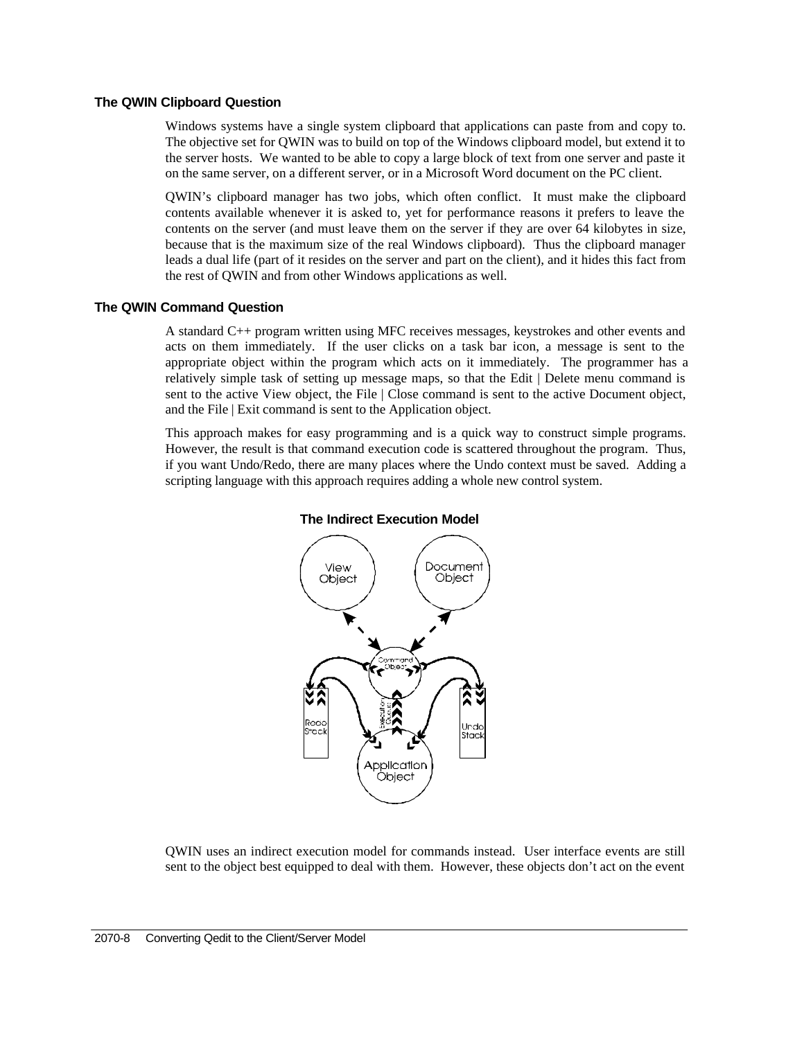#### **The QWIN Clipboard Question**

Windows systems have a single system clipboard that applications can paste from and copy to. The objective set for QWIN was to build on top of the Windows clipboard model, but extend it to the server hosts. We wanted to be able to copy a large block of text from one server and paste it on the same server, on a different server, or in a Microsoft Word document on the PC client.

QWIN's clipboard manager has two jobs, which often conflict. It must make the clipboard contents available whenever it is asked to, yet for performance reasons it prefers to leave the contents on the server (and must leave them on the server if they are over 64 kilobytes in size, because that is the maximum size of the real Windows clipboard). Thus the clipboard manager leads a dual life (part of it resides on the server and part on the client), and it hides this fact from the rest of QWIN and from other Windows applications as well.

### **The QWIN Command Question**

A standard C++ program written using MFC receives messages, keystrokes and other events and acts on them immediately. If the user clicks on a task bar icon, a message is sent to the appropriate object within the program which acts on it immediately. The programmer has a relatively simple task of setting up message maps, so that the Edit | Delete menu command is sent to the active View object, the File | Close command is sent to the active Document object, and the File | Exit command is sent to the Application object.

This approach makes for easy programming and is a quick way to construct simple programs. However, the result is that command execution code is scattered throughout the program. Thus, if you want Undo/Redo, there are many places where the Undo context must be saved. Adding a scripting language with this approach requires adding a whole new control system.



### **The Indirect Execution Model**

QWIN uses an indirect execution model for commands instead. User interface events are still sent to the object best equipped to deal with them. However, these objects don't act on the event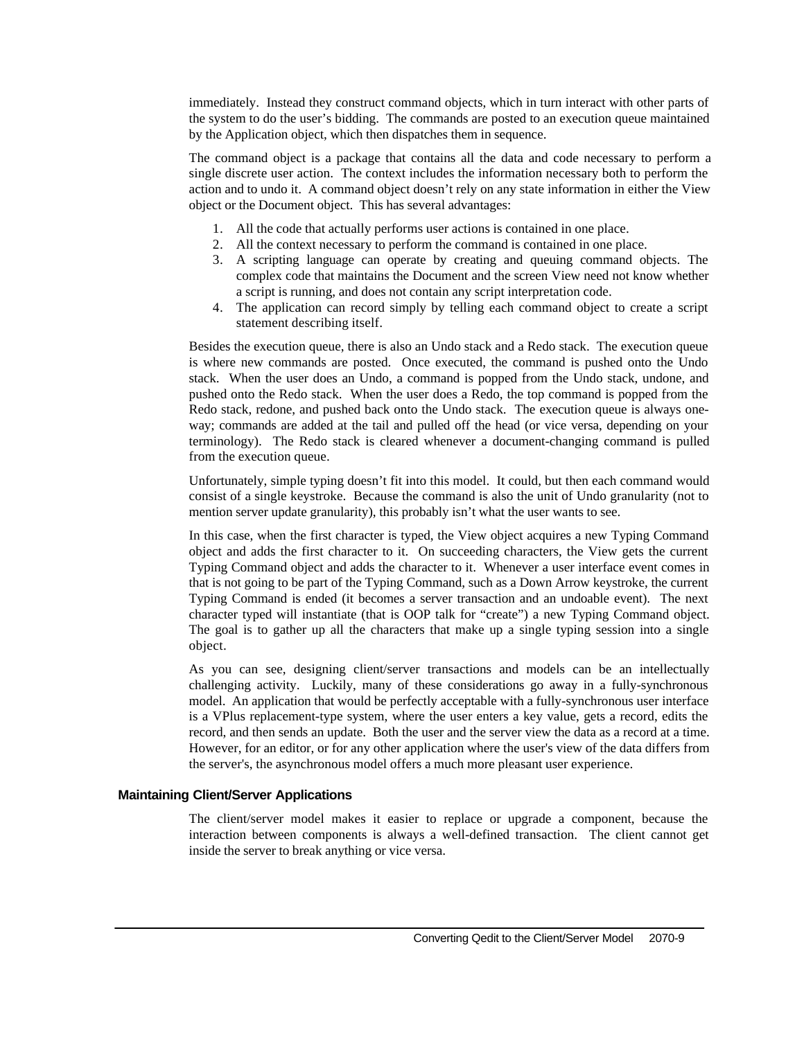immediately. Instead they construct command objects, which in turn interact with other parts of the system to do the user's bidding. The commands are posted to an execution queue maintained by the Application object, which then dispatches them in sequence.

The command object is a package that contains all the data and code necessary to perform a single discrete user action. The context includes the information necessary both to perform the action and to undo it. A command object doesn't rely on any state information in either the View object or the Document object. This has several advantages:

- 1. All the code that actually performs user actions is contained in one place.
- 2. All the context necessary to perform the command is contained in one place.
- 3. A scripting language can operate by creating and queuing command objects. The complex code that maintains the Document and the screen View need not know whether a script is running, and does not contain any script interpretation code.
- 4. The application can record simply by telling each command object to create a script statement describing itself.

Besides the execution queue, there is also an Undo stack and a Redo stack. The execution queue is where new commands are posted. Once executed, the command is pushed onto the Undo stack. When the user does an Undo, a command is popped from the Undo stack, undone, and pushed onto the Redo stack. When the user does a Redo, the top command is popped from the Redo stack, redone, and pushed back onto the Undo stack. The execution queue is always oneway; commands are added at the tail and pulled off the head (or vice versa, depending on your terminology). The Redo stack is cleared whenever a document-changing command is pulled from the execution queue.

Unfortunately, simple typing doesn't fit into this model. It could, but then each command would consist of a single keystroke. Because the command is also the unit of Undo granularity (not to mention server update granularity), this probably isn't what the user wants to see.

In this case, when the first character is typed, the View object acquires a new Typing Command object and adds the first character to it. On succeeding characters, the View gets the current Typing Command object and adds the character to it. Whenever a user interface event comes in that is not going to be part of the Typing Command, such as a Down Arrow keystroke, the current Typing Command is ended (it becomes a server transaction and an undoable event). The next character typed will instantiate (that is OOP talk for "create") a new Typing Command object. The goal is to gather up all the characters that make up a single typing session into a single object.

As you can see, designing client/server transactions and models can be an intellectually challenging activity. Luckily, many of these considerations go away in a fully-synchronous model. An application that would be perfectly acceptable with a fully-synchronous user interface is a VPlus replacement-type system, where the user enters a key value, gets a record, edits the record, and then sends an update. Both the user and the server view the data as a record at a time. However, for an editor, or for any other application where the user's view of the data differs from the server's, the asynchronous model offers a much more pleasant user experience.

# **Maintaining Client/Server Applications**

The client/server model makes it easier to replace or upgrade a component, because the interaction between components is always a well-defined transaction. The client cannot get inside the server to break anything or vice versa.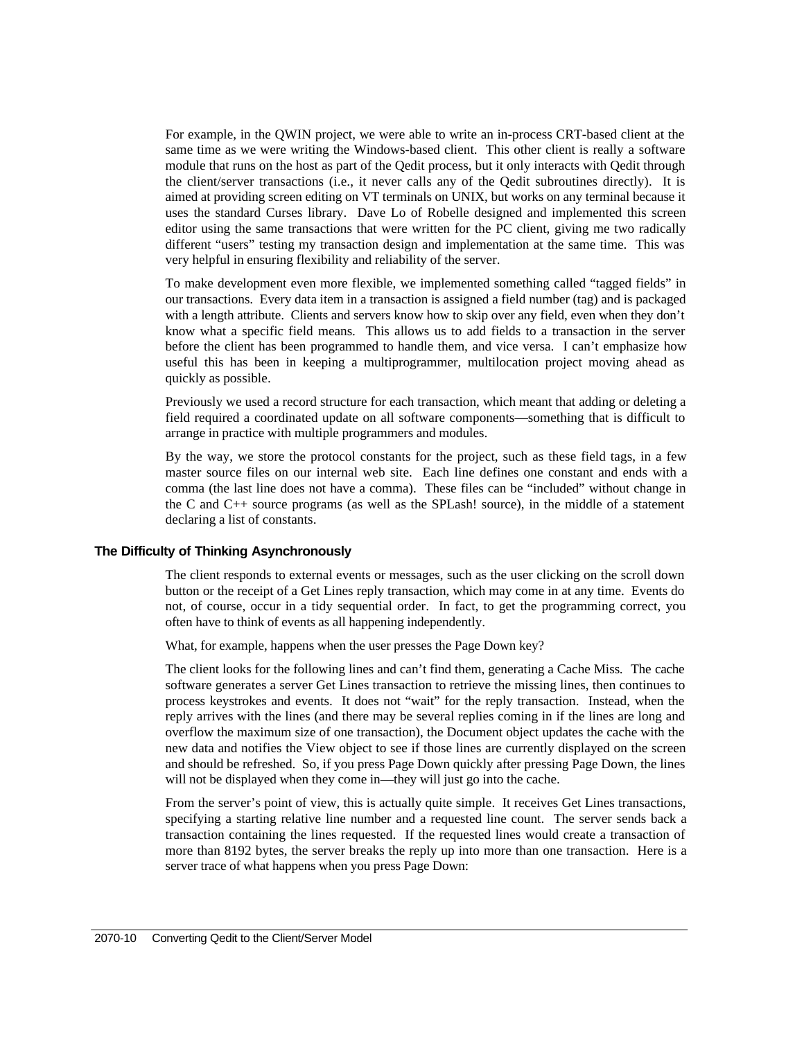For example, in the QWIN project, we were able to write an in-process CRT-based client at the same time as we were writing the Windows-based client. This other client is really a software module that runs on the host as part of the Qedit process, but it only interacts with Qedit through the client/server transactions (i.e., it never calls any of the Qedit subroutines directly). It is aimed at providing screen editing on VT terminals on UNIX, but works on any terminal because it uses the standard Curses library. Dave Lo of Robelle designed and implemented this screen editor using the same transactions that were written for the PC client, giving me two radically different "users" testing my transaction design and implementation at the same time. This was very helpful in ensuring flexibility and reliability of the server.

To make development even more flexible, we implemented something called "tagged fields" in our transactions. Every data item in a transaction is assigned a field number (tag) and is packaged with a length attribute. Clients and servers know how to skip over any field, even when they don't know what a specific field means. This allows us to add fields to a transaction in the server before the client has been programmed to handle them, and vice versa. I can't emphasize how useful this has been in keeping a multiprogrammer, multilocation project moving ahead as quickly as possible.

Previously we used a record structure for each transaction, which meant that adding or deleting a field required a coordinated update on all software components—something that is difficult to arrange in practice with multiple programmers and modules.

By the way, we store the protocol constants for the project, such as these field tags, in a few master source files on our internal web site. Each line defines one constant and ends with a comma (the last line does not have a comma). These files can be "included" without change in the C and C++ source programs (as well as the SPLash! source), in the middle of a statement declaring a list of constants.

#### **The Difficulty of Thinking Asynchronously**

The client responds to external events or messages, such as the user clicking on the scroll down button or the receipt of a Get Lines reply transaction, which may come in at any time. Events do not, of course, occur in a tidy sequential order. In fact, to get the programming correct, you often have to think of events as all happening independently.

What, for example, happens when the user presses the Page Down key?

The client looks for the following lines and can't find them, generating a Cache Miss*.* The cache software generates a server Get Lines transaction to retrieve the missing lines, then continues to process keystrokes and events. It does not "wait" for the reply transaction. Instead, when the reply arrives with the lines (and there may be several replies coming in if the lines are long and overflow the maximum size of one transaction), the Document object updates the cache with the new data and notifies the View object to see if those lines are currently displayed on the screen and should be refreshed. So, if you press Page Down quickly after pressing Page Down, the lines will not be displayed when they come in—they will just go into the cache.

From the server's point of view, this is actually quite simple. It receives Get Lines transactions, specifying a starting relative line number and a requested line count. The server sends back a transaction containing the lines requested. If the requested lines would create a transaction of more than 8192 bytes, the server breaks the reply up into more than one transaction. Here is a server trace of what happens when you press Page Down: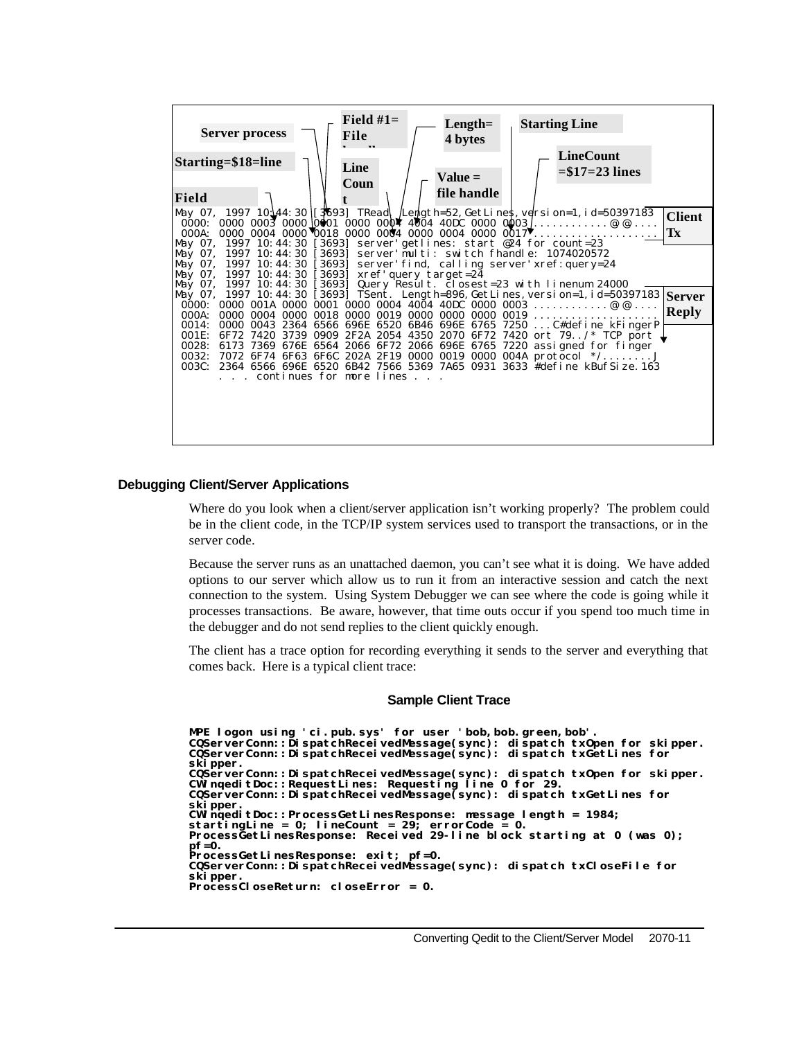| <b>Server process</b>                                                                                                                           | Field $#1=$<br>$Length =$<br>File<br>4 bytes                                                                                                                                                                                                                                                                                                                           | <b>Starting Line</b><br><b>LineCount</b>                                                                  |
|-------------------------------------------------------------------------------------------------------------------------------------------------|------------------------------------------------------------------------------------------------------------------------------------------------------------------------------------------------------------------------------------------------------------------------------------------------------------------------------------------------------------------------|-----------------------------------------------------------------------------------------------------------|
| Starting=\$18=line<br>Field                                                                                                                     | Line<br>$Value =$<br>Coun<br>file handle                                                                                                                                                                                                                                                                                                                               | $= $17 = 23$ lines                                                                                        |
| May 07, 1997 10:44:30 [3693]                                                                                                                    | May 07, 1997 10 44: 30 [[3693] TRead Legisth=52, GetLines, version=1, id=50397183<br>000A: 0000 0004 0000 0018 0000 0004 0000 0004 0000 0017 $\overline{\mathbf{v}}$<br>server' getlines: start @24 for count=23                                                                                                                                                       | <b>Client</b><br>Tx                                                                                       |
| 1997 10:44:30<br>$[3693]$<br>May 07,<br>$M$ av 07.<br>1997 10:44:30<br>$[3693]$<br>May 07, 1997 10:44:30 [3693]<br>May 07, 1997 10:44:30 [3693] | server'multi: switch fhandle: 1074020572<br>server' find, calling server' xref: query=24<br>xref' query target=24<br>Query Result. closest=23 with linenum 24000                                                                                                                                                                                                       |                                                                                                           |
| 0000:<br>000A:<br>0014:                                                                                                                         | 0000 001A 0000 0001 0000 0004 4004 40DC 0000 0003 @.@<br>$0000000400000018000000190000000000000019$                                                                                                                                                                                                                                                                    | May 07, 1997 10: 44: 30 [3693] TSent. Length=896, GetLines, version=1, id=50397183 Server<br><b>Reply</b> |
| 001E:<br>0032:<br>003C:<br>. continues for more lines                                                                                           | 0000 0043 2364 6566 696E 6520 6B46 696E 6765 7250  C#define kFingerP<br>6F72 7420 3739 0909 2F2A 2054 4350 2070 6F72 7420 ort 79/* TCP port<br>0028: 6173 7369 676E 6564 2066 6F72 2066 696E 6765 7220 assigned for finger<br>7072 6F74 6F63 6F6C 202A 2F19 0000 0019 0000 004A protocol */<br>2364 6566 696E 6520 6B42 7566 5369 7A65 0931 3633 #define kBufSize. 163 |                                                                                                           |
|                                                                                                                                                 |                                                                                                                                                                                                                                                                                                                                                                        |                                                                                                           |

#### **Debugging Client/Server Applications**

Where do you look when a client/server application isn't working properly? The problem could be in the client code, in the TCP/IP system services used to transport the transactions, or in the server code.

Because the server runs as an unattached daemon, you can't see what it is doing. We have added options to our server which allow us to run it from an interactive session and catch the next connection to the system. Using System Debugger we can see where the code is going while it processes transactions. Be aware, however, that time outs occur if you spend too much time in the debugger and do not send replies to the client quickly enough.

The client has a trace option for recording everything it sends to the server and everything that comes back. Here is a typical client trace:

#### **Sample Client Trace**

```
MPE logon using 'ci.pub.sys' for user 'bob,bob.green,bob'.
CQServerConn::DispatchReceivedMessage(sync): dispatch txOpen for skipper.
CQServerConn::DispatchReceivedMessage(sync): dispatch txGetLines for
skipper.
CQServerConn::DispatchReceivedMessage(sync): dispatch txOpen for skipper.<br>CWinqeditDoc::RequestLines: Requesting line 0 for 29.<br>CQServerConn::DispatchReceivedMessage(sync): dispatch txGetLines for
skipper.
CWinqeditDoc::ProcessGetLinesResponse: message length = 1984;
startingLine = 0; lineCount = 29; errorCode = 0.
ProcessGetLinesResponse: Received 29-line block starting at 0 (was 0);
pf=0.
ProcessGetLinesResponse: exit; pf=0.
CQServerConn::DispatchReceivedMessage(sync): dispatch txCloseFile for
skipper.
ProcessCloseReturn: closeError = 0.
```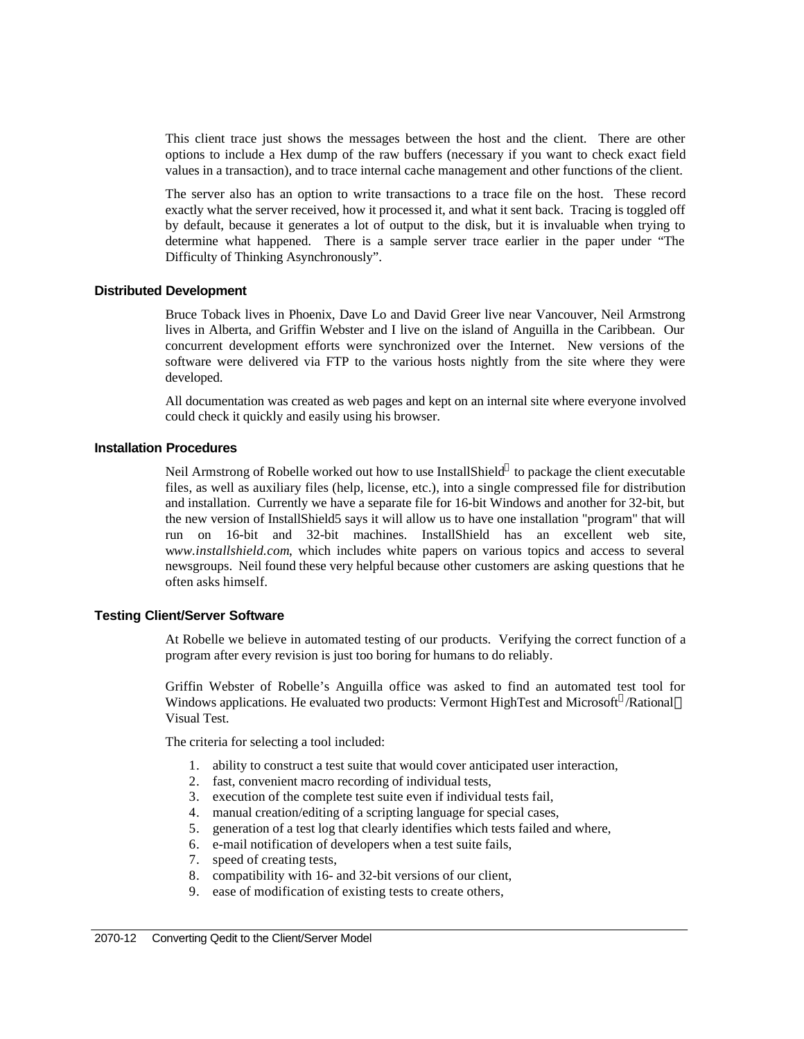This client trace just shows the messages between the host and the client. There are other options to include a Hex dump of the raw buffers (necessary if you want to check exact field values in a transaction), and to trace internal cache management and other functions of the client.

The server also has an option to write transactions to a trace file on the host. These record exactly what the server received, how it processed it, and what it sent back. Tracing is toggled off by default, because it generates a lot of output to the disk, but it is invaluable when trying to determine what happened. There is a sample server trace earlier in the paper under "The Difficulty of Thinking Asynchronously".

### **Distributed Development**

Bruce Toback lives in Phoenix, Dave Lo and David Greer live near Vancouver, Neil Armstrong lives in Alberta, and Griffin Webster and I live on the island of Anguilla in the Caribbean. Our concurrent development efforts were synchronized over the Internet. New versions of the software were delivered via FTP to the various hosts nightly from the site where they were developed.

All documentation was created as web pages and kept on an internal site where everyone involved could check it quickly and easily using his browser.

### **Installation Procedures**

Neil Armstrong of Robelle worked out how to use InstallShield $^{\circledast}$  to package the client executable files, as well as auxiliary files (help, license, etc.), into a single compressed file for distribution and installation. Currently we have a separate file for 16-bit Windows and another for 32-bit, but the new version of InstallShield5 says it will allow us to have one installation "program" that will run on 16-bit and 32-bit machines. InstallShield has an excellent web site, w*ww.installshield.com*, which includes white papers on various topics and access to several newsgroups. Neil found these very helpful because other customers are asking questions that he often asks himself.

#### **Testing Client/Server Software**

At Robelle we believe in automated testing of our products. Verifying the correct function of a program after every revision is just too boring for humans to do reliably.

Griffin Webster of Robelle's Anguilla office was asked to find an automated test tool for Windows applications. He evaluated two products: Vermont HighTest and Microsoft®/Rational™ Visual Test.

The criteria for selecting a tool included:

- 1. ability to construct a test suite that would cover anticipated user interaction,
- 2. fast, convenient macro recording of individual tests,
- 3. execution of the complete test suite even if individual tests fail,
- 4. manual creation/editing of a scripting language for special cases,
- 5. generation of a test log that clearly identifies which tests failed and where,
- 6. e-mail notification of developers when a test suite fails,
- 7. speed of creating tests,
- 8. compatibility with 16- and 32-bit versions of our client,
- 9. ease of modification of existing tests to create others,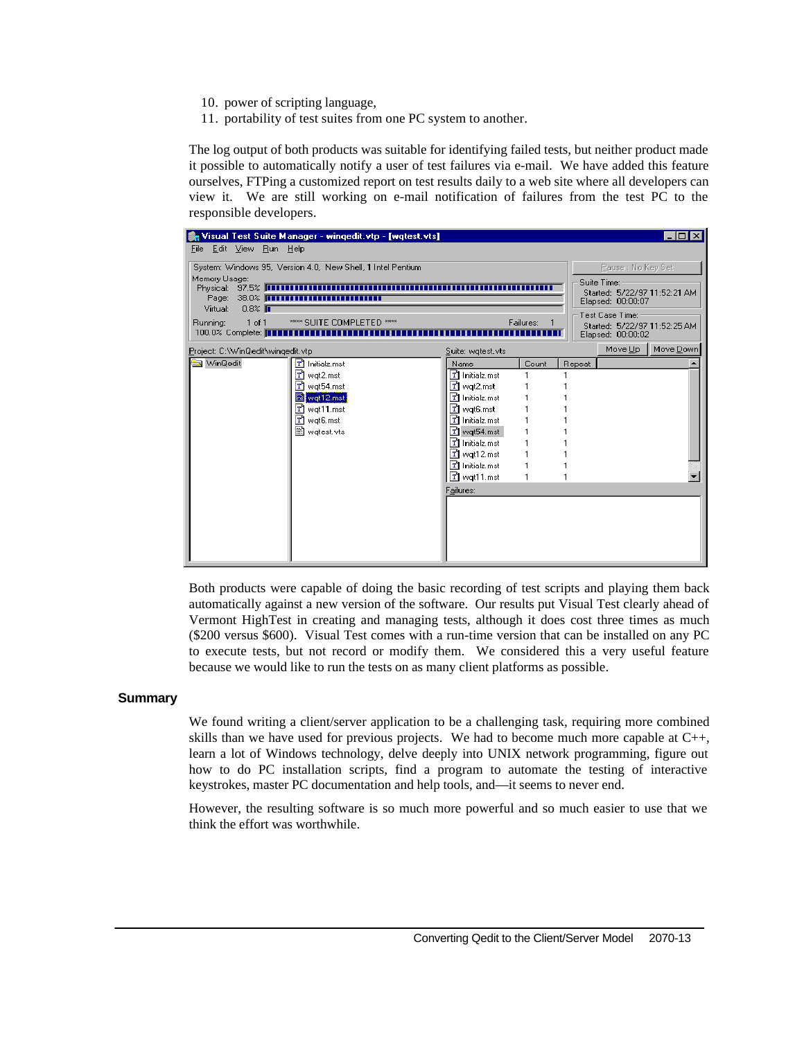- 10. power of scripting language,
- 11. portability of test suites from one PC system to another.

The log output of both products was suitable for identifying failed tests, but neither product made it possible to automatically notify a user of test failures via e-mail. We have added this feature ourselves, FTPing a customized report on test results daily to a web site where all developers can view it. We are still working on e-mail notification of failures from the test PC to the responsible developers.

|                                                                                            | Visual Test Suite Manager - wingedit.vtp - [wqtest.vts]                             |                                |           |        |                                                                       | $ \Box$ $\times$    |  |
|--------------------------------------------------------------------------------------------|-------------------------------------------------------------------------------------|--------------------------------|-----------|--------|-----------------------------------------------------------------------|---------------------|--|
| File Edit View Run Help                                                                    |                                                                                     |                                |           |        |                                                                       |                     |  |
|                                                                                            | System: Windows 95, Version 4.0, New Shell, 1 Intel Pentium                         |                                |           |        | Pause : No Key Set                                                    |                     |  |
| Memory Usage:<br>Physical: 97.5% <b>[1111111111</b><br>Page: 38.0% <b>[111111111111111</b> |                                                                                     |                                |           |        | Suite Time:<br>Started: 5/22/97 11:52:21 AM<br>Elapsed: 00:00:07      |                     |  |
| Virtual:<br>$0.8\%$ $\overline{\phantom{1}}$<br>Running:<br>1 of 1                         | <b>**** SUITE COMPLETED ****</b><br>100.0% Complete: <b>FEBERE ENTERTAINMENTERS</b> |                                | Failures: |        | Test Case Time:-<br>Started: 5/22/97 11:52:25 AM<br>Elapsed: 00:00:02 |                     |  |
| Project: C:\WinQedit\wingedit.vtp                                                          |                                                                                     | Suite: wgtest.vts              |           |        |                                                                       | Move Up   Move Down |  |
| WinQedit                                                                                   | r٦<br>Initialz.mst                                                                  | Name                           | Count     | Repeat |                                                                       |                     |  |
|                                                                                            | m<br>wqt2.mst                                                                       | T Initialz.mst                 |           |        |                                                                       |                     |  |
|                                                                                            | $\mathbf{T}$ wqt54.mst                                                              | $\mathbf{T}$ wqt2.mst          |           |        |                                                                       |                     |  |
|                                                                                            | wqt12.mst                                                                           | T Initialz.mst                 |           |        |                                                                       |                     |  |
|                                                                                            | $\mathbf{T}$ wqt11.mst                                                              | $\boxed{\mathbf{T}}$ wqt6.mst  |           |        |                                                                       |                     |  |
|                                                                                            | $\boxed{\mathbf{T}}$ wqt6.mst                                                       | T Initialz.mst                 |           |        |                                                                       |                     |  |
|                                                                                            | Watest.vts                                                                          | $\mathbf{T}$ wqt54.mst         |           |        |                                                                       |                     |  |
|                                                                                            |                                                                                     | $\mathbf{T}$ Initialz.mst      |           |        |                                                                       |                     |  |
|                                                                                            |                                                                                     | $\boxed{\mathbf{T}}$ wqt12.mst |           |        |                                                                       |                     |  |
|                                                                                            |                                                                                     | T Initialz.mst                 |           |        |                                                                       |                     |  |
|                                                                                            |                                                                                     | $T$ wqt11.mst                  |           |        |                                                                       |                     |  |
|                                                                                            |                                                                                     | Failures:                      |           |        |                                                                       |                     |  |
|                                                                                            |                                                                                     |                                |           |        |                                                                       |                     |  |
|                                                                                            |                                                                                     |                                |           |        |                                                                       |                     |  |
|                                                                                            |                                                                                     |                                |           |        |                                                                       |                     |  |
|                                                                                            |                                                                                     |                                |           |        |                                                                       |                     |  |
|                                                                                            |                                                                                     |                                |           |        |                                                                       |                     |  |
|                                                                                            |                                                                                     |                                |           |        |                                                                       |                     |  |

Both products were capable of doing the basic recording of test scripts and playing them back automatically against a new version of the software. Our results put Visual Test clearly ahead of Vermont HighTest in creating and managing tests, although it does cost three times as much (\$200 versus \$600). Visual Test comes with a run-time version that can be installed on any PC to execute tests, but not record or modify them. We considered this a very useful feature because we would like to run the tests on as many client platforms as possible.

#### **Summary**

We found writing a client/server application to be a challenging task, requiring more combined skills than we have used for previous projects. We had to become much more capable at  $C_{++}$ , learn a lot of Windows technology, delve deeply into UNIX network programming, figure out how to do PC installation scripts, find a program to automate the testing of interactive keystrokes, master PC documentation and help tools, and—it seems to never end.

However, the resulting software is so much more powerful and so much easier to use that we think the effort was worthwhile.